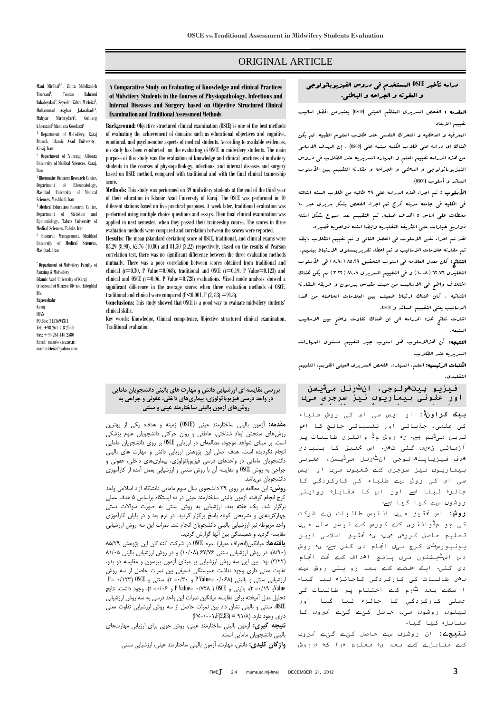# ORIGINAL ARTICLE

## دراسه تأخیر **OSCE** المستخدم فی دروس الفیزیوباثولوجی و العفونه و الجراحه و الباطنی.

المقدمه : الفحص السریری المنظم العینی (osce (یعتبرمن افضل اسالیب تقییم االبعاد

المعرفیه و العاطفیه و التحرک النفسی عند طالب العلوم الطبیه، لم یکن هناک ای دراسه علی طالب الکلیه مبنیه علی (osce (. إن الهدف االساسی من هذه الدراسه تقییم العلم و المهاره السریریه عند الطالب فی دروس الفیزیوباثولوجی و الباطنی و البراحه و مقارنه التقییم بین الأسلوب السائد و أسلوب (osce(.

األسلوب : تم اجراء هذه الدراسه علی 93 طالبه من طالب السنه الثالثه فی الکلیه فی جامعه مدینه کرج تم اجراء الفحص بشکل سریری عبر 01 محطات علی اساس 5 اهداف عملیه. تم التقییم بعد اسبوع بشکل اسئله ذواربع خیارات علی الطریقه التقلیدیه وایضا اسئله ذواجوبه قصیره.

لقد تم اجراء نفس االسلوب فی الفصل التالی و تم تقییم الطالب ،ایضا تم مقارنه عالمات االسالیب و تم اعطاء تقریربمستوی االرتباط بینهم. النتائج: کان معدل العلامه فی اسلوب التحقیق ۸۵٫۲۹ ( ۸٫۹۰ ) فی الأسلوب التقلیدی ٦٢.٧٦ ( ١٠.٠٨ ) و فی التقییم السریری ٨١.٠٨ ( ٣.٢٢ ) لم یکن هناك اختالف واضح فی االسالیب من حیث مقیاس بیرسون و طریقه المقارنه الثنائیه . کان هناک ارتباط ضعیف بین العالمات الحاصله من هذه االسالیب یعنی التقییم السائد و osce.

اشارت نتائج هذه الدراسه الی ان هناک تقاوت واضح بین االسالیب المتبعه.

النتیجه: أن هذاالسلوب هو اسلوب جید لتقییم مستوی المهارات السریریه عند الطالب.

الکلمات الرئیسیه: العلم، المهاره، الفحص السریری العینی القویم، التقییم التقلیدی.

|  |  |  | افيزيو پيتھولوجي، ان <sup>ڻ</sup> رنل مي <sup>ٿ</sup> يسن |  |
|--|--|--|-----------------------------------------------------------|--|
|  |  |  | اور عفونی بیماریوں نیز سرجری میں                          |  |
|  |  |  |                                                           |  |

**بیک گراونڈ:** او ایس سی ای کی روش طلباء کی علمی، جذباتی اور نفسیاتی جانچ کا اہم ترین میڈیم ہے۔ یہ روش مڈ وائفری طالبات پر آزمائي نہیں گئی تھی۔ اس حتقیق کا بنیادی ھدف فیزیاپتھالوجی انٹرنل میڈیسن، عفونی بیماریوں نیز سرجری کے شعبوں میں او ایس سی ای کی روش سے طلباء کی کارکردگي کا جائزہ لینا ہے اور اس کا مقابلہ روایتی روشوں سے کیا گیا ہے۔

**روش:** اس حتقیق میں انتیس طالبات نے شرکت کی جو مڈوائفری کے کورس کے تیسر سال میں تعلیم حاصل کررہی ہیں۔ یہ حتقیق اسالمی اوپن یونیورسٹی کرج میں اجنام دی گئي ہے۔ یہ روش دس اسٹیشنون میں پانچ اھداف کے حتت اجنام دی گئي۔ ایک ہفتے کے بعد روایتی روش سے بھی طالبات کی کارکردگي کاجائزہ لیا گیا۔ ا سکے بعد ٹرم کے اختتام پر طالبات کی عملی کارکردگي کا جائزہ لیا گیا اور تینوں روشوں میں حاصل کئے گئے منربوں کا مقابلہ کیا گیا۔

**نتیجے:** ان روشوں سے حاصل کئے گئے منربوں کے مقابلے کے بعد یہ معلوم ہوا کہ ہرروش

**A Comparative Study on Evaluating of Knowledge and clinical Practices of Midwifery Students in the Courses of Physiopathology, Infectious and Internal Diseases and Surgery based on Objective Structured Clinical Examination and Traditional Assessment Methods**

**Background:** Objective structured clinical examination (OSCE) is one of the best methods of evaluating the achievement of domains such as educational objectives and cognitive, emotional, and psycho-motor aspects of medical students. According to available evidences, no study has been conducted on the evaluating of OSCE in midwifery students. The main purpose of this study was the evaluation of knowledge and clinical practices of midwifery students in the courses of physiopathology, infectious, and internal diseases and surgery based on OSCE method, compared with traditional and with the final clinical traineeship score.

**Methods:** This study was performed on 39 midwifery students at the end of the third year of their education in Islamic Azad University of Karaj. The OSCE was performed in 10 different stations based on five practical purposes. A week later, traditional evaluation was performed using multiple choice questions and essays. Then final clinical examination was applied in next semester, when they passed their traineeship course. The scores in three evaluation methods were compared and correlation between the scores were reported.

**Results:** The mean (Standard deviation) score of OSCE, traditional, and clinical exams were 85.29 (8.90), 62.76 (10.80) and 81.50 (3.22) respectively. Based on the results of Pearson correlation test, there was no significant difference between the three evaluation methods mutually. There was a poor correlation between scores obtained from traditional and clinical  $(r=0.30, P$  Value=0.068), traditional and OSCE  $(r=0.19, P$  Value=0.123) and clinical and OSCE ( $r=0.06$ , P Value $r=0.728$ ) evaluations. Mixed mode analysis showed a significant difference in the average scores when three evaluation methods of OSCE, traditional and clinical were compared  $(P<0.001, F(2, 83) = 91.8)$ .

**Conclusions:** This study showed that OSCE is a good way to evaluate midwifery students' clinical skills.

Key words: Knowledge, Clinical competence, Objective structured clinical examination, Traditional evaluation

#### **بررسی مقایسه ای ارزشیابی دانش و مهارت های بالینی دانشجویان مامایی در واحد درسی فیزیوپاتولوژی، بیماریهای داخلی، عفونی و جراحی به روشهای آزمون بالینی ساختارمند عینی و سنتی**

**مقدمه:** آزمون بالینی ساختارمند عینی )OSCE )زمینه و هدف: یکی از بهترین روشهای سنجش ابعاد شناختی، عاطفی و روان حرکتی دانشجویان علوم پزشکی است. بر مبنای شواهد موجود، مطالعهای در ارزیابی OSCE بر روی دانشجویان مامایی انجام نگردیده است. هدف اصلی این پژوهش ارزیابی دانش و مهارت های بالینی دانشجویان مامایی در واحدهای درسی فیزیوپاتولوژی، بیماریهای داخلی، عفونی و جراحی به روش OSCE و مقایسه آن با روش سنتی و ارزشیابی بعمل آمده از کارآموزی دانشجویان میباشد.

**روش:** این مطالعه بر روی 93 دانشجوی سال سوم مامایی دانشگاه آزاد اسالمی واحد کرج انجام گرفت. آزمون بالینی ساختارمند عینی در ده ایستگاه براساس 5 هدف عملی برگزار شد. یک هفته بعد، ارزشیابی به روش سنتی به صورت سواالت تستی چهارگزینهای و تشریحی کوتاه پاسخ برگزار گردید. در ترم بعد و در پایان کارآموزی واحد مربوطه نیز ارزشیابی بالینی دانشجویان انجام شد. نمرات این سه روش ارزشیابی مقایسه گردید و همبستگی بین آنها گزارش گردید.

**یافتهها:** میانگین)انحراف معیار( نمره OSCE در شرکت کنندگان این پژوهش 55/93 )5/39(، در روش ارزشیابی سنتی 79/67 )09/95( و در روش ارزشیابی بالینی 50/95 )9/99( بود. بین این سه روش ارزشیابی بر مبنای آزمون پیرسون و مقایسه دو بدو، تفاوت معنی داری وجود نداشت همبستگی ضعیفی بین نمرات حاصل از سه روش  $P = \cdot / \gamma \cdot \gamma$ ارزشیابی سنتی و بالینی (۶۸۶– P Value و  $\gamma \cdot \gamma = \gamma$ ، سنتی و OSCE(  $\gamma$ Valueو 9/03= r)، بالینی و OSCE ( 9/695= Value P و 9/97= r)، وجود داشت. نتایج تحلیل مدل آمیخته برای مقایسه میانگین نمرات این واحد درسی به سه روش ارزشیابی OSCE، سنتی و بالینی نشان داد بین نمرات حاصل از سه روش ارزشیابی تفاوت معنی  $(P<\cdot/\cdot\cdot\cdot)$ داری وجود دارد. (۱/۸ = (2,83)

**نتیجه گیری:** آزمون بالینی ساختارمند عینی، روش خوبی برای ارزیابی مهارتهای بالینی دانشجویان مامایی است.

**واژگان کلیدی:** دانش، مهارت، آزمون بالینی ساختارمند عینی، ارزشیابی سنتی

Mani Mirfeizi1,\* , Zahra Mehdizadeh Tourzani<sup>1</sup>. , Touran Bahrami Babaheydari<sup>2</sup>, Seyedeh Zahra Mirfeizi3, Mohammad Asghari Jafarabadi<sup>4</sup>, Mahyar Mirheydari<sup>5</sup> , Golbarg khorsand5Mandana Goodarzi<sup>1</sup>

1 Department of Midwifery, Karaj Branch, Islamic Azad University, Karaj, Iran

2 Department of Nursing, Albourz University of Medical Sciences, Karaj, Iran

3 Rheumatic Diseases Research Center, Department of Rheumatology, Mashhad University of Medical Sciences, Mashhad, Iran <sup>4</sup> Medical Education Research Center, Department of Statistics and Epidemiology, Tabriz University of Medical Sciences, Tabriz, Iran 5 Research Management, Mashhad

University of Medical Sciences, Mashhad, Iran

\* Department of Midwifery Faculty of Nursing & Midwifery Islamic Azad University of Karaj Crossroad of Moazen Blv and Esteghlal Blv. Rajaeeshahr Karaj IRAN PO.Box: 3153694311 Tel: +98 261 418 2580 Fax: +98 261 418 2580 Emai[l:](mailto:mani@kiau.ac.ir) [mani@kiau.ac.ir,](mailto:mani@kiau.ac.ir) [manimirfeizi@yahoo.com](mailto:manimirfeizi@yahoo.com)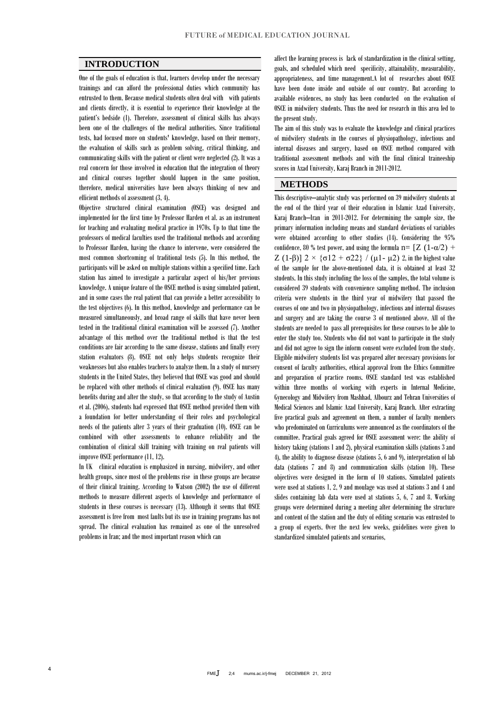### **INTRODUCTION**

One of the goals of education is that, learners develop under the necessary trainings and can afford the professional duties which community has entrusted to them. Because medical students often deal with with patients and clients directly, it is essential to experience their knowledge at the patient's bedside (1). Therefore, assessment of clinical skills has always been one of the challenges of the medical authorities. Since traditional tests, had focused more on students' knowledge, based on their memory, the evaluation of skills such as problem solving, critical thinking, and communicating skills with the patient or client were neglected (2). It was a real concern for those involved in education that the integration of theory and clinical courses together should happen in the same position, therefore, medical universities have been always thinking of new and efficient methods of assessment (3, 4).

Objective structured clinical examination (OSCE) was designed and implemented for the first time by Professor Harden et al. as an instrument for teaching and evaluating medical practice in 1970s. Up to that time the professors of medical faculties used the traditional methods and according to Professor Harden, having the chance to intervene, were considered the most common shortcoming of traditional tests (5). In this method, the participants will be asked on multiple stations within a specified time. Each station has aimed to investigate a particular aspect of his/her previous knowledge. A unique feature of the OSCE method is using simulated patient, and in some cases the real patient that can provide a better accessibility to the test objectives (6). In this method, knowledge and performance can be measured simultaneously, and broad range of skills that have never been tested in the traditional clinical examination will be assessed (7). Another advantage of this method over the traditional method is that the test conditions are fair according to the same disease, stations and finally every station evaluators (8). OSCE not only helps students recognize their weaknesses but also enables teachers to analyze them. In a study of nursery students in the United States, they believed that OSCE was good and should be replaced with other methods of clinical evaluation (9). OSCE has many benefits during and after the study, so that according to the study of Austin et al. (2006), students had expressed that OSCE method provided them with a foundation for better understanding of their roles and psychological needs of the patients after 3 years of their graduation (10). OSCE can be combined with other assessments to enhance reliability and the combination of clinical skill training with training on real patients will improve OSCE performance (11, 12).

In UK clinical education is emphasized in nursing, midwifery, and other health groups, since most of the problems rise in these groups are because of their clinical training. According to Watson (2002) the use of different methods to measure different aspects of knowledge and performance of students in these courses is necessary (13). Although it seems that OSCE assessment is free from most faults but its use in training programs has not spread. The clinical evaluation has remained as one of the unresolved problems in Iran; and the most important reason which can

affect the learning process is lack of standardization in the clinical setting, goals, and scheduled which need specificity, attainability, measurability, appropriateness, and time management.A lot of researches about OSCE have been done inside and outside of our country. But according to available evidences, no study has been conducted on the evaluation of OSCE in midwifery students. Thus the need for research in this area led to the present study.

The aim of this study was to evaluate the knowledge and clinical practices of midwifery students in the courses of physiopathology, infectious and internal diseases and surgery, based on OSCE method compared with traditional assessment methods and with the final clinical traineeship scores in Azad University, Karaj Branch in 2011-2012.

### **METHODS**

This descriptive–analytic study was performed on 39 midwifery students at the end of the third year of their education in Islamic Azad University, Karaj Branch–Iran in 2011-2012. For determining the sample size, the primary information including means and standard deviations of variables were obtained according to other studies (14). Considering the 95% confidence, 80 % test power, and using the formula  $n= [Z (1-\alpha/2) +$ Z (1-β)]  $2 \times$  {σ12 + σ22} / (μ1- μ2) 2, in the highest value of the sample for the above-mentioned data, it is obtained at least 32 students. In this study including the loss of the samples, the total volume is considered 39 students with convenience sampling method. The inclusion criteria were students in the third year of midwifery that passed the courses of one and two in physiopathology, infectious and internal diseases and surgery and are taking the course 3 of mentioned above. All of the students are needed to pass all prerequisites for these courses to be able to enter the study too. Students who did not want to participate in the study and did not agree to sign the inform consent were excluded from the study. Eligible midwifery students list was prepared after necessary provisions for consent of faculty authorities, ethical approval from the Ethics Committee and preparation of practice rooms. OSCE standard test was established within three months of working with experts in Internal Medicine, Gynecology and Midwifery from Mashhad, Albourz and Tehran Universities of Medical Sciences and Islamic Azad University, Karaj Branch. After extracting five practical goals and agreement on them, a number of faculty members who predominated on Curriculums were announced as the coordinators of the committee. Practical goals agreed for OSCE assessment were: the ability of history taking (stations 1 and 2), physical examination skills (stations 3 and 4), the ability to diagnose disease (stations 5, 6 and 9), interpretation of lab data (stations 7 and 8) and communication skills (station 10). These objectives were designed in the form of 10 stations. Simulated patients were used at stations 1, 2, 9 and moulage was used at stations 3 and 4 and slides containing lab data were used at stations 5, 6, 7 and 8. Working groups were determined during a meeting after determining the structure and content of the station and the duty of editing scenario was entrusted to a group of experts. Over the next few weeks, guidelines were given to standardized simulated patients and scenarios,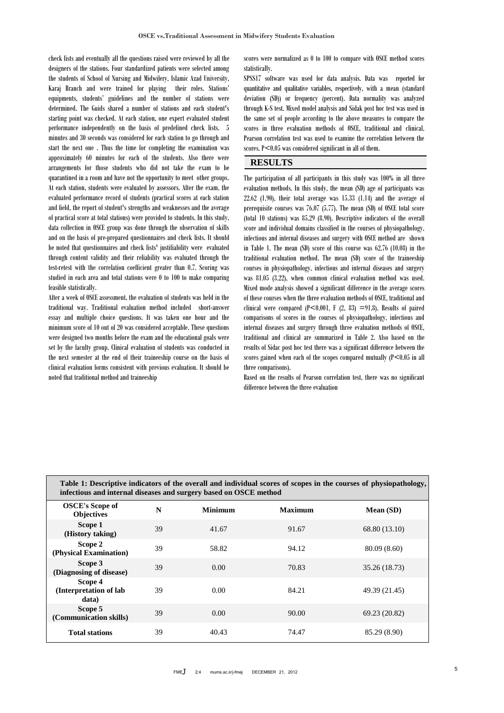check lists and eventually all the questions raised were reviewed by all the designers of the stations. Four standardized patients were selected among the students of School of Nursing and Midwifery, Islamic Azad University, Karaj Branch and were trained for playing their roles. Stations' equipments, students' guidelines and the number of stations were determined. The Guids shared a number of stations and each student's starting point was checked. At each station, one expert evaluated student performance independently on the basis of predefined check lists. 5 minutes and 30 seconds was considered for each station to go through and start the next one . Thus the time for completing the examination was approximately 60 minutes for each of the students. Also there were arrangements for those students who did not take the exam to be quarantined in a room and have not the opportunity to meet other groups. At each station, students were evaluated by assessors. After the exam, the evaluated performance record of students (practical scores at each station and field, the report of student's strengths and weaknesses and the average of practical score at total stations) were provided to students. In this study, data collection in OSCE group was done through the observation of skills and on the basis of pre-prepared questionnaires and check lists. It should be noted that questionnaires and check lists' justifiability were evaluated through content validity and their reliability was evaluated through the test-retest with the correlation coefficient greater than 0.7. Scoring was studied in each area and total stations were 0 to 100 to make comparing feasible statistically.

After a week of OSCE assessment, the evaluation of students was held in the traditional way. Traditional evaluation method included short-answer essay and multiple choice questions. It was taken one hour and the minimum score of 10 out of 20 was considered acceptable. These questions were designed two months before the exam and the educational goals were set by the faculty group. Clinical evaluation of students was conducted in the next semester at the end of their traineeship course on the basis of clinical evaluation forms consistent with previous evaluation. It should be noted that traditional method and traineeship

scores were normalized as 0 to 100 to compare with OSCE method scores statistically.

SPSS17 software was used for data analysis. Data was reported for quantitative and qualitative variables, respectively, with a mean (standard deviation (SD)) or frequency (percent). Data normality was analyzed through K-S test. Mixed model analysis and Sidak post hoc test was used in the same set of people according to the above measures to compare the scores in three evaluation methods of OSCE, traditional and clinical. Pearson correlation test was used to examine the correlation between the scores. P<0.05 was considered significant in all of them.

## **RESULTS**

The participation of all participants in this study was 100% in all three evaluation methods. In this study, the mean (SD) age of participants was  $22.62$   $(1.90)$ , their total average was  $15.33$   $(1.14)$  and the average of prerequisite courses was 76.07 (5.77). The mean (SD) of OSCE total score (total 10 stations) was 85.29 (8.90). Descriptive indicators of the overall score and individual domains classified in the courses of physiopathology, infectious and internal diseases and surgery with OSCE method are shown in Table 1. The mean (SD) score of this course was 62.76 (10.08) in the traditional evaluation method. The mean (SD) score of the traineeship courses in physiopathology, infectious and internal diseases and surgery was 81.05 (3.22), when common clinical evaluation method was used. Mixed mode analysis showed a significant difference in the average scores of these courses when the three evaluation methods of OSCE, traditional and clinical were compared  $(P<0.001, F(2, 83) = 91.8)$ . Results of paired comparisons of scores in the courses of physiopathology, infectious and internal diseases and surgery through three evaluation methods of OSCE, traditional and clinical are summarized in Table 2. Also based on the results of Sidac post hoc test there was a significant difference between the scores gained when each of the scopes compared mutually  $(P<0.05$  in all three comparisons).

Based on the results of Pearson correlation test, there was no significant difference between the three evaluation

| Table 1: Descriptive indicators of the overall and individual scores of scopes in the courses of physiopathology,<br>infectious and internal diseases and surgery based on OSCE method |    |                |                |               |  |  |  |
|----------------------------------------------------------------------------------------------------------------------------------------------------------------------------------------|----|----------------|----------------|---------------|--|--|--|
| <b>OSCE's Scope of</b><br><b>Objectives</b>                                                                                                                                            | N  | <b>Minimum</b> | <b>Maximum</b> | Mean (SD)     |  |  |  |
| Scope 1<br>(History taking)                                                                                                                                                            | 39 | 41.67          | 91.67          | 68.80 (13.10) |  |  |  |
| Scope 2<br>(Physical Examination)                                                                                                                                                      | 39 | 58.82          | 94.12          | 80.09 (8.60)  |  |  |  |
| Scope 3<br>(Diagnosing of disease)                                                                                                                                                     | 39 | 0.00           | 70.83          | 35.26 (18.73) |  |  |  |
| Scope 4<br>(Interpretation of lab<br>data)                                                                                                                                             | 39 | 0.00           | 84.21          | 49.39 (21.45) |  |  |  |
| Scope 5<br>(Communication skills)                                                                                                                                                      | 39 | 0.00           | 90.00          | 69.23 (20.82) |  |  |  |
| <b>Total stations</b>                                                                                                                                                                  | 39 | 40.43          | 74.47          | 85.29 (8.90)  |  |  |  |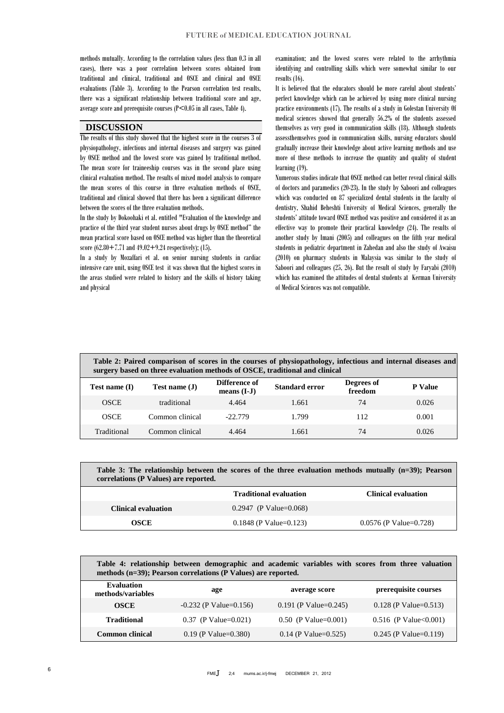methods mutually. According to the correlation values (less than 0.3 in all cases), there was a poor correlation between scores obtained from traditional and clinical, traditional and OSCE and clinical and OSCE evaluations (Table 3). According to the Pearson correlation test results, there was a significant relationship between traditional score and age, average score and prerequisite courses  $(P<0.05$  in all cases, Table 4).

### **DISCUSSION**

The results of this study showed that the highest score in the courses 3 of physiopathology, infectious and internal diseases and surgery was gained by OSCE method and the lowest score was gained by traditional method. The mean score for traineeship courses was in the second place using clinical evaluation method. The results of mixed model analysis to compare the mean scores of this course in three evaluation methods of OSCE, traditional and clinical showed that there has been a significant difference between the scores of the three evaluation methods.

In the study by Dokoohaki et al. entitled "Evaluation of the knowledge and practice of the third year student nurses about drugs by OSCE method" the mean practical score based on OSCE method was higher than the theoretical score  $(62.80 + 7.71$  and  $49.02 + 9.24$  respectively); (15).

In a study by Mozaffari et al. on senior nursing students in cardiac intensive care unit, using OSCE test it was shown that the highest scores in the areas studied were related to history and the skills of history taking and physical

examination; and the lowest scores were related to the arrhythmia identifying and controlling skills which were somewhat similar to our results (16).

It is believed that the educators should be more careful about students' perfect knowledge which can be achieved by using more clinical nursing practice environments (17). The results of a study in Golestan University Of medical sciences showed that generally 56.2% of the students assessed themselves as very good in communication skills (18). Although students assessthemselves good in communication skills, nursing educators should gradually increase their knowledge about active learning methods and use more of these methods to increase the quantity and quality of student learning (19).

Numerous studies indicate that OSCE method can better reveal clinical skills of doctors and paramedics (20-23). In the study by Saboori and colleagues which was conducted on 87 specialized dental students in the faculty of dentistry, Shahid Beheshti University of Medical Sciences, generally the students' attitude toward OSCE method was positive and considered it as an effective way to promote their practical knowledge (24). The results of another study by Imani (2005) and colleagues on the fifth year medical students in pediatric department in Zahedan and also the study of Awaisu (2010) on pharmacy students in Malaysia was similar to the study of Saboori and colleagues (25, 26). But the result of study by Faryabi (2010) which has examined the attitudes of dental students at Kerman University of Medical Sciences was not compatible.

| Table 2: Paired comparison of scores in the courses of physiopathology, infectious and internal diseases and<br>surgery based on three evaluation methods of OSCE, traditional and clinical |                 |                                |                       |                       |                |  |  |  |
|---------------------------------------------------------------------------------------------------------------------------------------------------------------------------------------------|-----------------|--------------------------------|-----------------------|-----------------------|----------------|--|--|--|
| Test name $(I)$                                                                                                                                                                             | Test name $(J)$ | Difference of<br>means $(I-J)$ | <b>Standard error</b> | Degrees of<br>freedom | <b>P</b> Value |  |  |  |
| <b>OSCE</b>                                                                                                                                                                                 | traditional     | 4.464                          | 1.661                 | 74                    | 0.026          |  |  |  |
| <b>OSCE</b>                                                                                                                                                                                 | Common clinical | $-22.779$                      | 1.799                 | 112                   | 0.001          |  |  |  |
| Traditional                                                                                                                                                                                 | Common clinical | 4.464                          | 1.661                 | 74                    | 0.026          |  |  |  |

| Table 3: The relationship between the scores of the three evaluation methods mutually $(n=39)$ ; Pearson |  |  |  |  |  |  |
|----------------------------------------------------------------------------------------------------------|--|--|--|--|--|--|
| correlations (P Values) are reported.                                                                    |  |  |  |  |  |  |

|                     | <b>Traditional evaluation</b> | Clinical evaluation      |
|---------------------|-------------------------------|--------------------------|
| Clinical evaluation | $0.2947$ (P Value=0.068)      |                          |
| OSCE                | $0.1848$ (P Value=0.123)      | $0.0576$ (P Value=0.728) |

**Table 4: relationship between demographic and academic variables with scores from three valuation methods (n=39); Pearson correlations (P Values) are reported.**

| Evaluation<br>methods/variables | age                        | average score              | prerequisite courses        |
|---------------------------------|----------------------------|----------------------------|-----------------------------|
| <b>OSCE</b>                     | $-0.232$ (P Value=0.156)   | 0.191 (P Value=0.245)      | $0.128$ (P Value= $0.513$ ) |
| <b>Traditional</b>              | $0.37$ (P Value= $0.021$ ) | $0.50$ (P Value= $0.001$ ) | $0.516$ (P Value $0.001$ )  |
| Common clinical                 | $0.19$ (P Value= $0.380$ ) | $0.14$ (P Value= $0.525$ ) | $0.245$ (P Value= $0.119$ ) |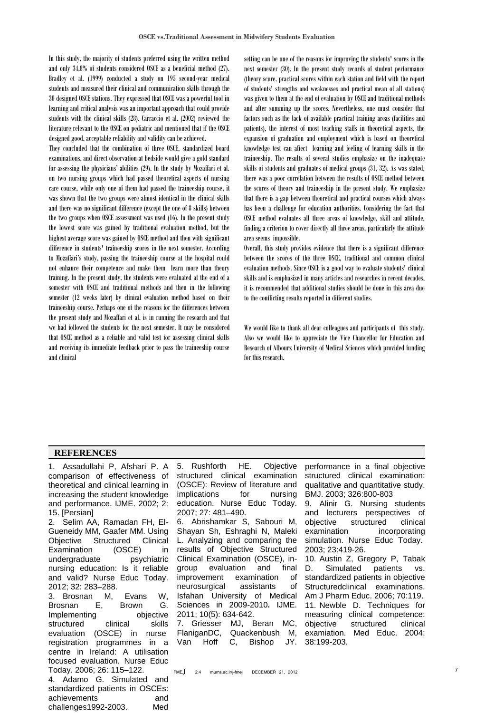In this study, the majority of students preferred using the written method and only 34.8% of students considered OSCE as a beneficial method (27). Bradley et al. (1999) conducted a study on 195 second-year medical students and measured their clinical and communication skills through the 30 designed OSCE stations. They expressed that OSCE was a powerful tool in learning and critical analysis was an important approach that could provide students with the clinical skills (28). Carraccio et al. (2002) reviewed the literature relevant to the OSCE on pediatric and mentioned that if the OSCE designed good, acceptable reliability and validity can be achieved.

They concluded that the combination of three OSCE, standardized board examinations, and direct observation at bedside would give a gold standard for assessing the physicians' abilities (29). In the study by Mozaffari et al. on two nursing groups which had passed theoretical aspects of nursing care course, while only one of them had passed the traineeship course, it was shown that the two groups were almost identical in the clinical skills and there was no significant difference (except the one of 8 skills) between the two groups when OSCE assessment was used (16). In the present study the lowest score was gained by traditional evaluation method, but the highest average score was gained by OSCE method and then with significant difference in students' traineeship scores in the next semester. According to Mozaffari's study, passing the traineeship course at the hospital could not enhance their competence and make them learn more than theory training. In the present study, the students were evaluated at the end of a semester with OSCE and traditional methods and then in the following semester (12 weeks later) by clinical evaluation method based on their traineeship course. Perhaps one of the reasons for the differences between the present study and Mozaffari et al. is in running the research and that we had followed the students for the next semester. It may be considered that OSCE method as a reliable and valid test for assessing clinical skills and receiving its immediate feedback prior to pass the traineeship course and clinical

setting can be one of the reasons for improving the students' scores in the next semester (30). In the present study records of student performance (theory score, practical scores within each station and field with the report of students' strengths and weaknesses and practical mean of all stations) was given to them at the end of evaluation by OSCE and traditional methods and after summing up the scores. Nevertheless, one must consider that factors such as the lack of available practical training areas (facilities and patients), the interest of most teaching staffs in theoretical aspects, the expansion of graduation and employment which is based on theoretical knowledge test can affect learning and feeling of learning skills in the traineeship. The results of several studies emphasize on the inadequate skills of students and graduates of medical groups (31, 32). As was stated, there was a poor correlation between the results of OSCE method between the scores of theory and traineeship in the present study. We emphasize that there is a gap between theoretical and practical courses which always has been a challenge for education authorities. Considering the fact that OSCE method evaluates all three areas of knowledge, skill and attitude, finding a criterion to cover directly all three areas, particularly the attitude area seems impossible.

Overall, this study provides evidence that there is a significant difference between the scores of the three OSCE, traditional and common clinical evaluation methods. Since OSCE is a good way to evaluate students' clinical skills and is emphasized in many articles and researches in recent decades, it is recommended that additional studies should be done in this area due to the conflicting results reported in different studies.

We would like to thank all dear colleagues and participants of this study. Also we would like to appreciate the Vice Chancellor for Education and Research of Albourz University of Medical Sciences which provided funding for this research.

#### **REFERENCES**

1. [Assadullahi P](http://ijme.mui.ac.ir/search.php?slc_lang=en&sid=1&auth=Assadullahi), [Afshari](http://ijme.mui.ac.ir/search.php?slc_lang=en&sid=1&auth=Afshari) P. [A](http://ijme.mui.ac.ir/browse.php?a_id=468&slc_lang=en&sid=1&ftxt=1)  [comparison of effectiveness of](http://ijme.mui.ac.ir/browse.php?a_id=468&slc_lang=en&sid=1&ftxt=1)  [theoretical and clinical learning in](http://ijme.mui.ac.ir/browse.php?a_id=468&slc_lang=en&sid=1&ftxt=1)  [increasing the student knowledge](http://ijme.mui.ac.ir/browse.php?a_id=468&slc_lang=en&sid=1&ftxt=1)  [and performance.](http://ijme.mui.ac.ir/browse.php?a_id=468&slc_lang=en&sid=1&ftxt=1) [IJME. 2002; 2:](http://ijme.mui.ac.ir/browse.php?mag_id=16&slc_lang=en&sid=1)  [15.](http://ijme.mui.ac.ir/browse.php?mag_id=16&slc_lang=en&sid=1) [Persian]

2. Selim AA, Ramadan FH, El-Gueneidy MM, Gaafer MM. Using Objective Structured Clinical Examination (OSCE) in undergraduate psychiatric nursing education: Is it reliable and valid? Nurse Educ Today. 2012; 32: 283–288. 3. Brosnan M, Evans W,

Brosnan E, Brown G. Implementing objective structured clinical skills evaluation (OSCE) in nurse registration programmes in a centre in Ireland: A utilisation focused evaluation. Nurse Educ Today. 2006; 26: 115–122. 4. Adamo G. Simulated and standardized patients in OSCEs:

achievements and challenges1992-2003. Med 5. Rushforth HE. Objective structured clinical examination (OSCE): Review of literature and implications for nursing education. Nurse Educ Today. 2007; 27: 481–490.

6. [Abrishamkar](http://ijme.mui.ac.ir/search.php?slc_lang=en&sid=1&auth=abrishamkar) S, [Sabouri M](http://ijme.mui.ac.ir/search.php?slc_lang=en&sid=1&auth=sabouri), [Shayan](http://ijme.mui.ac.ir/search.php?slc_lang=en&sid=1&auth=Shayan) Sh, [Eshraghi](http://ijme.mui.ac.ir/search.php?slc_lang=en&sid=1&auth=Eshraghi) N, [Maleki](http://ijme.mui.ac.ir/search.php?slc_lang=en&sid=1&auth=Maleki) L. [Analyzing and comparing the](http://ijme.mui.ac.ir/browse.php?a_id=1275&slc_lang=en&sid=1&ftxt=1)  [results of Objective Structured](http://ijme.mui.ac.ir/browse.php?a_id=1275&slc_lang=en&sid=1&ftxt=1)  [Clinical Examination \(OSCE\), in](http://ijme.mui.ac.ir/browse.php?a_id=1275&slc_lang=en&sid=1&ftxt=1)[group evaluation and final](http://ijme.mui.ac.ir/browse.php?a_id=1275&slc_lang=en&sid=1&ftxt=1)  [improvement examination of](http://ijme.mui.ac.ir/browse.php?a_id=1275&slc_lang=en&sid=1&ftxt=1)  [neurosurgical assistants of](http://ijme.mui.ac.ir/browse.php?a_id=1275&slc_lang=en&sid=1&ftxt=1)  [Isfahan University of Medical](http://ijme.mui.ac.ir/browse.php?a_id=1275&slc_lang=en&sid=1&ftxt=1)  [Sciences in 2009-2010](http://ijme.mui.ac.ir/browse.php?a_id=1275&slc_lang=en&sid=1&ftxt=1)**.** IJME. 2011; 10(5): 634-642. 7. Griesser MJ, Beran MC,

FlaniganDC, Quackenbush M, Van Hoff C, Bishop JY. performance in a final objective structured clinical examination: qualitative and quantitative study. BMJ. 2003; 326:800-803

9. Alinir G. Nursing students and lecturers perspectives of objective structured clinical examination incorporating simulation. Nurse Educ Today. 2003; 23:419-26.

10. [Austin Z,](http://www.ncbi.nlm.nih.gov/pubmed?term=Austin%20Z%5BAuthor%5D&cauthor=true&cauthor_uid=17149448) [Gregory P,](http://www.ncbi.nlm.nih.gov/pubmed?term=Gregory%20P%5BAuthor%5D&cauthor=true&cauthor_uid=17149448) [Tabak](http://www.ncbi.nlm.nih.gov/pubmed?term=Tabak%20D%5BAuthor%5D&cauthor=true&cauthor_uid=17149448)  [D.](http://www.ncbi.nlm.nih.gov/pubmed?term=Tabak%20D%5BAuthor%5D&cauthor=true&cauthor_uid=17149448) Simulated patients vs. standardized patients in objective Structuredclinical examinations. [Am J Pharm Educ.](http://www.ncbi.nlm.nih.gov/pubmed/17149448) 2006; 70:119. 11. Newble D. Techniques for measuring clinical competence: objective structured clinical examiation. Med Educ. 2004; 38:199-203.

 $FMEJ$  2;4 mums.ac.ir/j-fmej DECEMBER 21, 2012